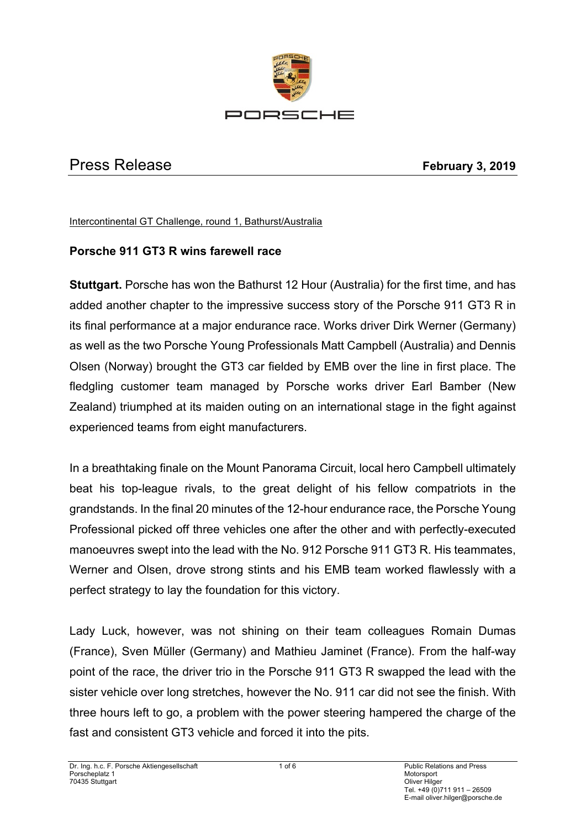

# Press Release **February 3, 2019**

Intercontinental GT Challenge, round 1, Bathurst/Australia

### **Porsche 911 GT3 R wins farewell race**

**Stuttgart.** Porsche has won the Bathurst 12 Hour (Australia) for the first time, and has added another chapter to the impressive success story of the Porsche 911 GT3 R in its final performance at a major endurance race. Works driver Dirk Werner (Germany) as well as the two Porsche Young Professionals Matt Campbell (Australia) and Dennis Olsen (Norway) brought the GT3 car fielded by EMB over the line in first place. The fledgling customer team managed by Porsche works driver Earl Bamber (New Zealand) triumphed at its maiden outing on an international stage in the fight against experienced teams from eight manufacturers.

In a breathtaking finale on the Mount Panorama Circuit, local hero Campbell ultimately beat his top-league rivals, to the great delight of his fellow compatriots in the grandstands. In the final 20 minutes of the 12-hour endurance race, the Porsche Young Professional picked off three vehicles one after the other and with perfectly-executed manoeuvres swept into the lead with the No. 912 Porsche 911 GT3 R. His teammates, Werner and Olsen, drove strong stints and his EMB team worked flawlessly with a perfect strategy to lay the foundation for this victory.

Lady Luck, however, was not shining on their team colleagues Romain Dumas (France), Sven Müller (Germany) and Mathieu Jaminet (France). From the half-way point of the race, the driver trio in the Porsche 911 GT3 R swapped the lead with the sister vehicle over long stretches, however the No. 911 car did not see the finish. With three hours left to go, a problem with the power steering hampered the charge of the fast and consistent GT3 vehicle and forced it into the pits.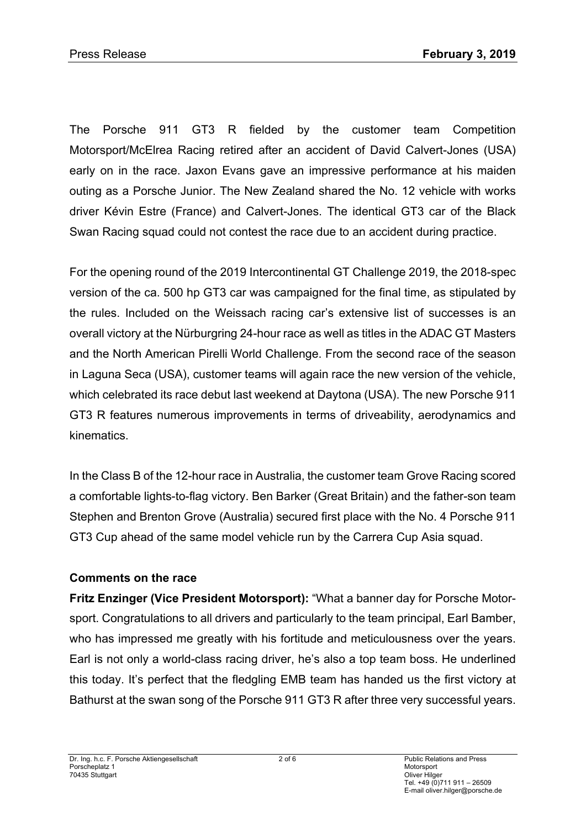The Porsche 911 GT3 R fielded by the customer team Competition Motorsport/McElrea Racing retired after an accident of David Calvert-Jones (USA) early on in the race. Jaxon Evans gave an impressive performance at his maiden outing as a Porsche Junior. The New Zealand shared the No. 12 vehicle with works driver Kévin Estre (France) and Calvert-Jones. The identical GT3 car of the Black Swan Racing squad could not contest the race due to an accident during practice.

For the opening round of the 2019 Intercontinental GT Challenge 2019, the 2018-spec version of the ca. 500 hp GT3 car was campaigned for the final time, as stipulated by the rules. Included on the Weissach racing car's extensive list of successes is an overall victory at the Nürburgring 24-hour race as well as titles in the ADAC GT Masters and the North American Pirelli World Challenge. From the second race of the season in Laguna Seca (USA), customer teams will again race the new version of the vehicle, which celebrated its race debut last weekend at Daytona (USA). The new Porsche 911 GT3 R features numerous improvements in terms of driveability, aerodynamics and kinematics.

In the Class B of the 12-hour race in Australia, the customer team Grove Racing scored a comfortable lights-to-flag victory. Ben Barker (Great Britain) and the father-son team Stephen and Brenton Grove (Australia) secured first place with the No. 4 Porsche 911 GT3 Cup ahead of the same model vehicle run by the Carrera Cup Asia squad.

#### **Comments on the race**

**Fritz Enzinger (Vice President Motorsport):** "What a banner day for Porsche Motorsport. Congratulations to all drivers and particularly to the team principal, Earl Bamber, who has impressed me greatly with his fortitude and meticulousness over the years. Earl is not only a world-class racing driver, he's also a top team boss. He underlined this today. It's perfect that the fledgling EMB team has handed us the first victory at Bathurst at the swan song of the Porsche 911 GT3 R after three very successful years.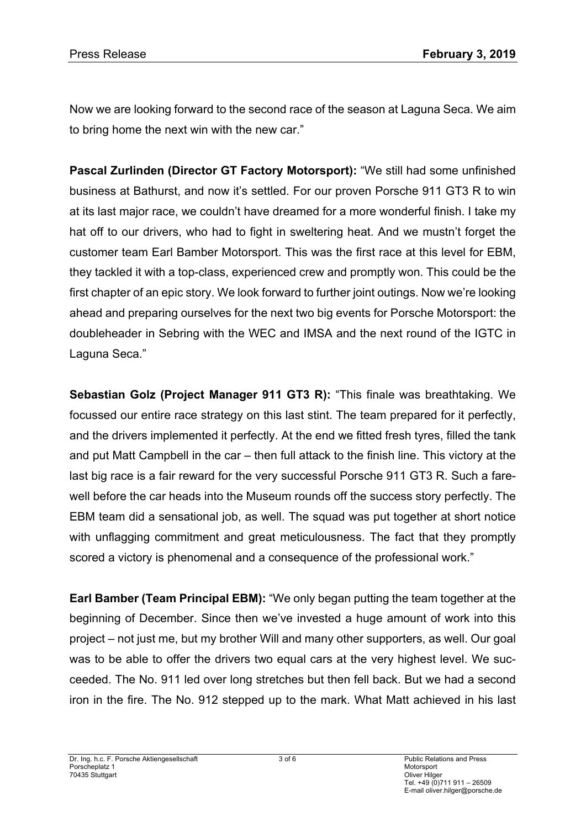Now we are looking forward to the second race of the season at Laguna Seca. We aim to bring home the next win with the new car."

**Pascal Zurlinden (Director GT Factory Motorsport):** "We still had some unfinished business at Bathurst, and now it's settled. For our proven Porsche 911 GT3 R to win at its last major race, we couldn't have dreamed for a more wonderful finish. I take my hat off to our drivers, who had to fight in sweltering heat. And we mustn't forget the customer team Earl Bamber Motorsport. This was the first race at this level for EBM, they tackled it with a top-class, experienced crew and promptly won. This could be the first chapter of an epic story. We look forward to further joint outings. Now we're looking ahead and preparing ourselves for the next two big events for Porsche Motorsport: the doubleheader in Sebring with the WEC and IMSA and the next round of the IGTC in Laguna Seca."

**Sebastian Golz (Project Manager 911 GT3 R):** "This finale was breathtaking. We focussed our entire race strategy on this last stint. The team prepared for it perfectly, and the drivers implemented it perfectly. At the end we fitted fresh tyres, filled the tank and put Matt Campbell in the car – then full attack to the finish line. This victory at the last big race is a fair reward for the very successful Porsche 911 GT3 R. Such a farewell before the car heads into the Museum rounds off the success story perfectly. The EBM team did a sensational job, as well. The squad was put together at short notice with unflagging commitment and great meticulousness. The fact that they promptly scored a victory is phenomenal and a consequence of the professional work."

**Earl Bamber (Team Principal EBM):** "We only began putting the team together at the beginning of December. Since then we've invested a huge amount of work into this project – not just me, but my brother Will and many other supporters, as well. Our goal was to be able to offer the drivers two equal cars at the very highest level. We succeeded. The No. 911 led over long stretches but then fell back. But we had a second iron in the fire. The No. 912 stepped up to the mark. What Matt achieved in his last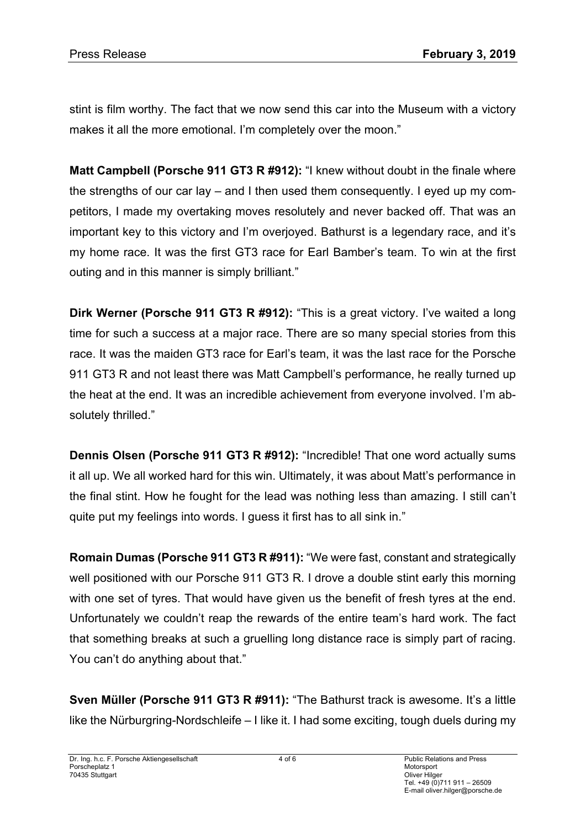stint is film worthy. The fact that we now send this car into the Museum with a victory makes it all the more emotional. I'm completely over the moon."

**Matt Campbell (Porsche 911 GT3 R #912):** "I knew without doubt in the finale where the strengths of our car lay – and I then used them consequently. I eyed up my competitors, I made my overtaking moves resolutely and never backed off. That was an important key to this victory and I'm overjoyed. Bathurst is a legendary race, and it's my home race. It was the first GT3 race for Earl Bamber's team. To win at the first outing and in this manner is simply brilliant."

**Dirk Werner (Porsche 911 GT3 R #912):** "This is a great victory. I've waited a long time for such a success at a major race. There are so many special stories from this race. It was the maiden GT3 race for Earl's team, it was the last race for the Porsche 911 GT3 R and not least there was Matt Campbell's performance, he really turned up the heat at the end. It was an incredible achievement from everyone involved. I'm absolutely thrilled."

**Dennis Olsen (Porsche 911 GT3 R #912):** "Incredible! That one word actually sums it all up. We all worked hard for this win. Ultimately, it was about Matt's performance in the final stint. How he fought for the lead was nothing less than amazing. I still can't quite put my feelings into words. I guess it first has to all sink in."

**Romain Dumas (Porsche 911 GT3 R #911):** "We were fast, constant and strategically well positioned with our Porsche 911 GT3 R. I drove a double stint early this morning with one set of tyres. That would have given us the benefit of fresh tyres at the end. Unfortunately we couldn't reap the rewards of the entire team's hard work. The fact that something breaks at such a gruelling long distance race is simply part of racing. You can't do anything about that."

**Sven Müller (Porsche 911 GT3 R #911):** "The Bathurst track is awesome. It's a little like the Nürburgring-Nordschleife – I like it. I had some exciting, tough duels during my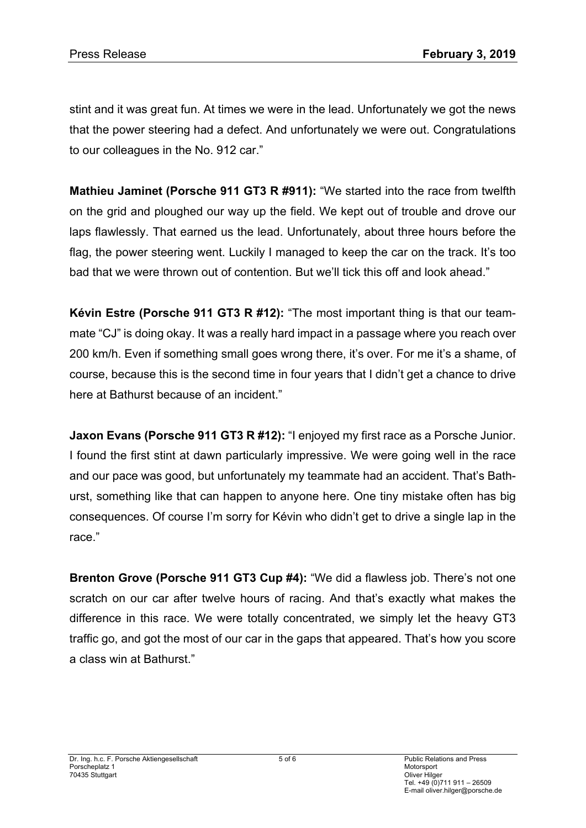stint and it was great fun. At times we were in the lead. Unfortunately we got the news that the power steering had a defect. And unfortunately we were out. Congratulations to our colleagues in the No. 912 car."

**Mathieu Jaminet (Porsche 911 GT3 R #911):** "We started into the race from twelfth on the grid and ploughed our way up the field. We kept out of trouble and drove our laps flawlessly. That earned us the lead. Unfortunately, about three hours before the flag, the power steering went. Luckily I managed to keep the car on the track. It's too bad that we were thrown out of contention. But we'll tick this off and look ahead."

**Kévin Estre (Porsche 911 GT3 R #12):** "The most important thing is that our teammate "CJ" is doing okay. It was a really hard impact in a passage where you reach over 200 km/h. Even if something small goes wrong there, it's over. For me it's a shame, of course, because this is the second time in four years that I didn't get a chance to drive here at Bathurst because of an incident."

**Jaxon Evans (Porsche 911 GT3 R #12):** "I enjoyed my first race as a Porsche Junior. I found the first stint at dawn particularly impressive. We were going well in the race and our pace was good, but unfortunately my teammate had an accident. That's Bathurst, something like that can happen to anyone here. One tiny mistake often has big consequences. Of course I'm sorry for Kévin who didn't get to drive a single lap in the race."

**Brenton Grove (Porsche 911 GT3 Cup #4):** "We did a flawless job. There's not one scratch on our car after twelve hours of racing. And that's exactly what makes the difference in this race. We were totally concentrated, we simply let the heavy GT3 traffic go, and got the most of our car in the gaps that appeared. That's how you score a class win at Bathurst."